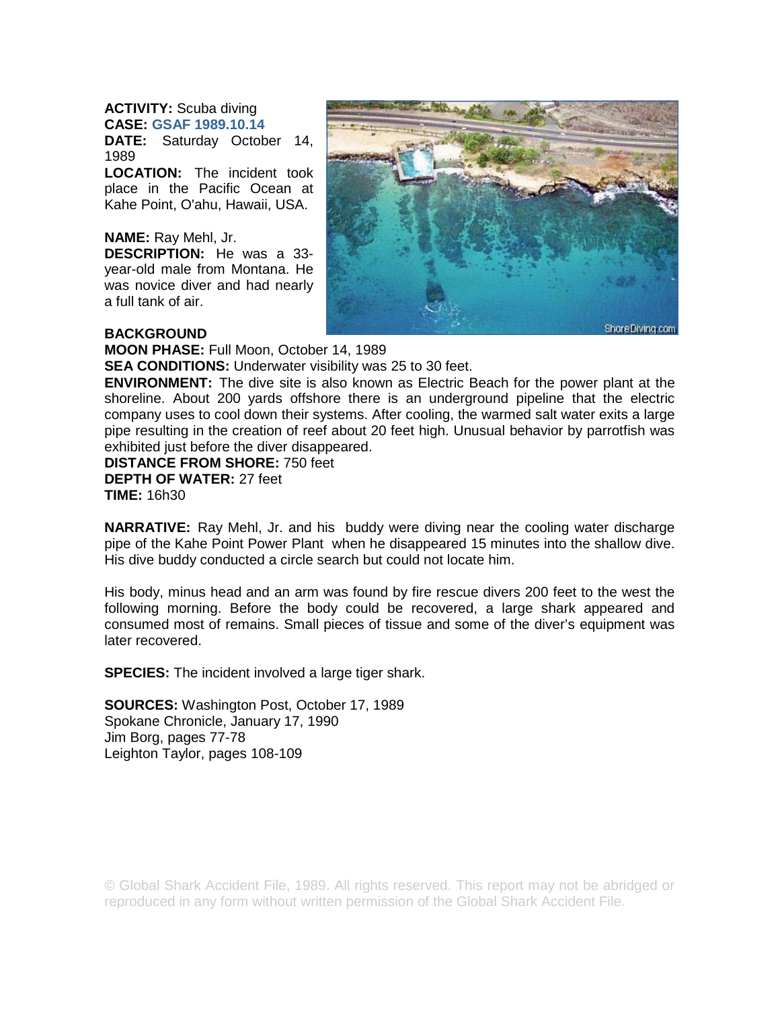## **ACTIVITY:** Scuba diving **CASE: GSAF 1989.10.14**

**DATE:** Saturday October 14, 1989

**LOCATION:** The incident took place in the Pacific Ocean at Kahe Point, O'ahu, Hawaii, USA.

## **NAME:** Ray Mehl, Jr.

**DESCRIPTION:** He was a 33 year-old male from Montana. He was novice diver and had nearly a full tank of air.



## **BACKGROUND**

**MOON PHASE:** Full Moon, October 14, 1989

**SEA CONDITIONS:** Underwater visibility was 25 to 30 feet.

**ENVIRONMENT:** The dive site is also known as Electric Beach for the power plant at the shoreline. About 200 yards offshore there is an underground pipeline that the electric company uses to cool down their systems. After cooling, the warmed salt water exits a large pipe resulting in the creation of reef about 20 feet high. Unusual behavior by parrotfish was exhibited just before the diver disappeared.

**DISTANCE FROM SHORE:** 750 feet **DEPTH OF WATER:** 27 feet **TIME:** 16h30

**NARRATIVE:** Ray Mehl, Jr. and his buddy were diving near the cooling water discharge pipe of the Kahe Point Power Plant when he disappeared 15 minutes into the shallow dive. His dive buddy conducted a circle search but could not locate him.

His body, minus head and an arm was found by fire rescue divers 200 feet to the west the following morning. Before the body could be recovered, a large shark appeared and consumed most of remains. Small pieces of tissue and some of the diver's equipment was later recovered.

**SPECIES:** The incident involved a large tiger shark.

**SOURCES:** Washington Post, October 17, 1989 Spokane Chronicle, January 17, 1990 Jim Borg, pages 77-78 Leighton Taylor, pages 108-109

© Global Shark Accident File, 1989. All rights reserved. This report may not be abridged or reproduced in any form without written permission of the Global Shark Accident File.